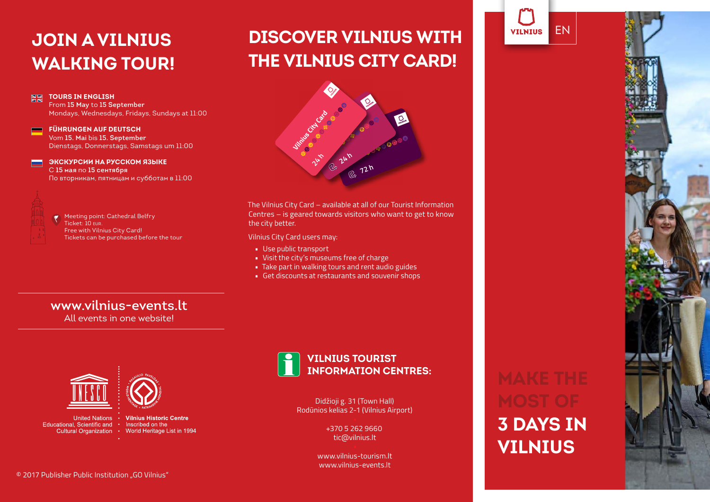# **JOIN A VILNIUS WALKING TOUR!**

From **15 May** to **15 September**

**FÜHRUNGEN AUF DEUTSCH** Vom **15. Mai** bis **15. September**

С **15 мая** по **15 сентября**

Ticket: 10 eur.

Mondays, Wednesdays, Fridays, Sundays at 11:00

Dienstags, Donnerstags, Samstags um 11:00

По вторникам, пятницам и субботам в 11:00

Tickets can be purchased before the tour

**ЭКСКУРСИИ НА РУССКОМ ЯЗЫКЕ**

Meeting point: Cathedral Belfry

Free with Vilnius City Card!

**TOURS IN ENGLISH**

**NN** 

 $\equiv$ 

# **DISCOVER VILNIUS WITH THE VILNIUS CITY CARD!**



The Vilnius City Card – available at all of our Tourist Information Centres – is geared towards visitors who want to get to know the city better.

Vilnius City Card users may:

- Use public transport
- Visit the city's museums free of charge
- Take part in walking tours and rent audio guides
- Get discounts at restaurants and souvenir shops

**www.vilnius-events.lt** All events in one website!



Educational, Scientific and • Inscribed on the





Didžioji g. 31 (Town Hall) Rodūnios kelias 2-1 (Vilnius Airport)

> +370 5 262 9660 tic@vilnius.lt

www.vilnius-tourism.lt www.vilnius-events.lt

# **3 DAYS IN VILNIUS**

EN

**VILNIUS**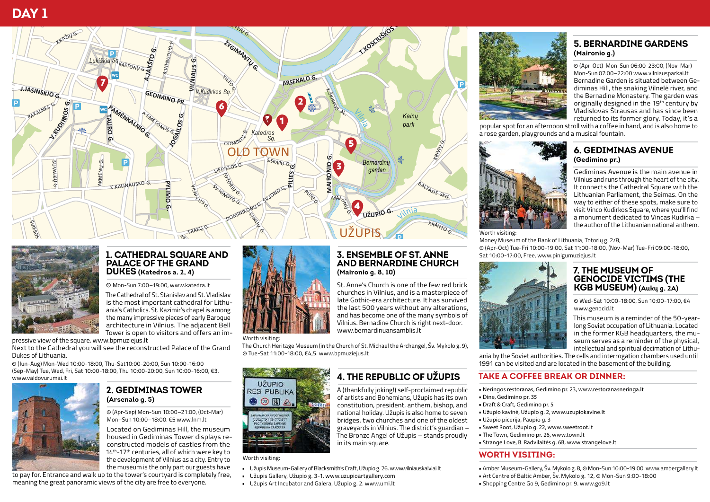# **DAY 1**





#### **1. CATHEDRAL SQUARE AND PALACE OF THE GRAND DUKES (Katedros a. 2, 4)**

} Mon-Sun 7:00–19:00, www.katedra.lt

The Cathedral of St. Stanislav and St. Vladislav is the most important cathedral for Lithuania's Catholics. St. Kazimir's chapel is among the many impressive pieces of early Baroque architecture in Vilnius. The adjacent Bell Tower is open to visitors and offers an im-

pressive view of the square. www.bpmuziejus.lt

Next to the Cathedral you will see the reconstructed Palace of the Grand Dukes of Lithuania.

} (Jun-Aug) Mon-Wed 10:00-18:00, Thu-Sat10:00-20:00, Sun 10:00-16:00 (Sep-May) Tue, Wed, Fri, Sat 10:00-18:00, Thu 10:00-20:00, Sun 10:00-16:00, €3. www.valdovurumai.lt



#### **2. GEDIMINAS TOWER (Arsenalo g. 5)**

} (Apr-Sep) Mon-Sun 10:00–21:00, (Oct-Mar) Mon–Sun 10:00–18:00. €5 www.lnm.lt

Located on Gediminas Hill, the museum housed in Gediminas Tower displays reconstructed models of castles from the 14th-17th centuries, all of which were key to the development of Vilnius as a city. Entry to the museum is the only part our guests have

to pay for. Entrance and walk up to the tower's courtyard is completely free, meaning the great panoramic views of the city are free to everyone.



#### Worth visiting:

The Church Heritage Museum (in the Church of St. Michael the Archangel, Šv. Mykolo g. 9), } Tue-Sat 11:00-18:00, €4,5. www.bpmuziejus.lt

in its main square.

**(Maironio g. 8, 10)**

www.bernardinuansamblis.lt

**3. ENSEMBLE OF ST. ANNE AND BERNARDINE CHURCH**

St. Anne's Church is one of the few red brick churches in Vilnius, and is a masterpiece of late Gothic-era architecture. It has survived the last 500 years without any alterations, and has become one of the many symbols of Vilnius. Bernadine Church is right next-door.

**4. THE REPUBLIC OF UŽUPIS** A (thankfully joking!) self-proclaimed republic of artists and Bohemians, Užupis has its own constitution, president, anthem, bishop, and national holiday. Užupis is also home to seven bridges, two churches and one of the oldest graveyards in Vilnius. The district's guardian – The Bronze Angel of Užupis – stands proudly



Worth visiting:

- Užupis Museum-Gallery of Blacksmith's Craft, Užupio g. 26. www.vilniauskalviai.lt
- Užupis Gallery, Užupio g. 3-1. www.uzupioartgallery.com
- Užupis Art Incubator and Galera, Užupio g. 2. www.umi.lt



#### **5. BERNARDINE GARDENS (Maironio g.)**

} (Apr-Oct) Mon-Sun 06:00-23:00, (Nov-Mar) Mon-Sun 07:00–22:00 www.vilniausparkai.lt Bernadine Garden is situated between Gediminas Hill, the snaking Vilnelė river, and the Bernadine Monastery. The garden was originally designed in the 19th century by Vladislovas Štrausas and has since been returned to its former glory. Today, it's a

popular spot for an afternoon stroll with a coffee in hand, and is also home to a rose garden, playgrounds and a musical fountain.



**6. GEDIMINAS AVENUE (Gedimino pr.)**

Gediminas Avenue is the main avenue in Vilnius and runs through the heart of the city. It connects the Cathedral Square with the Lithuanian Parliament, the Seimas. On the way to either of these spots, make sure to visit Vinco Kudirkos Square, where you'll find a monument dedicated to Vincas Kudirka – the author of the Lithuanian national anthem.

#### Worth visiting:

Money Museum of the Bank of Lithuania, Totorių g. 2/8,

} (Apr-Oct) Tue-Fri 10:00-19:00, Sat 11:00-18:00, (Nov-Mar) Tue-Fri 09:00-18:00, Sat 10:00-17:00, Free, www.pinigumuziejus.lt



#### **7. THE MUSEUM OF GENOCIDE VICTIMS (THE KGB MUSEUM) (Aukų g. 2A)**

} Wed-Sat 10:00-18:00, Sun 10:00-17:00, €4 www.genocid.lt

This museum is a reminder of the 50-yearlong Soviet occupation of Lithuania. Located in the former KGB headquarters, the museum serves as a reminder of the physical, intellectual and spiritual decimation of Lithu-

ania by the Soviet authorities. The cells and interrogation chambers used until 1991 can be visited and are located in the basement of the building.

#### **TAKE A COFFEE BREAK OR DINNER:**

- Neringos restoranas, Gedimino pr. 23, www.restoranasneringa.lt
- Dine, Gedimino pr. 35
- Draft & Craft, Gedimino pr. 5
- Užupio kavinė, Užupio g. 2, www.uzupiokavine.lt
- Užupio picerija, Paupio g. 3
- Sweet Root, Užupio g. 22, www.sweetroot.lt
- The Town, Gedimino pr. 26, www.town.lt
- Strange Love, B. Radvilaitės g. 6B, www.strangelove.lt

#### **WORTH VISITING:**

- Amber Museum-Gallery, Šv. Mykolo g. 8, © Mon-Sun 10:00-19:00. www.ambergallery.lt
- Art Centre of Baltic Amber, Šv. Mykolo g. 12, } Mon-Sun 9:00-18:00
- Shopping Centre Go 9, Gedimino pr. 9. www.go9.lt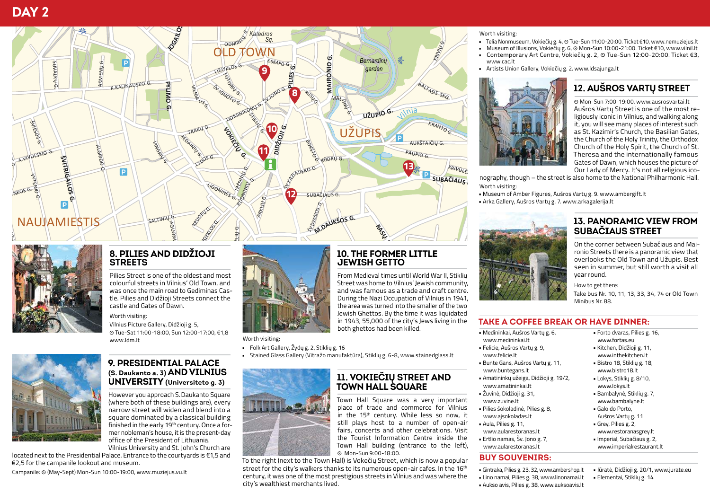



#### 8. PILIES AND DIDŽIOJI **STREETS**

Pilies Street is one of the oldest and most colourful streets in Vilnius' Old Town, and was once the main road to Gediminas Castle. Pilies and Didžioji Streets connect the castle and Gates of Dawn.

Worth visiting:

Vilnius Picture Gallery, Didžioji g. 5. ⊙ Tue-Sat 11:00-18:00, Sun 12:00-17:00, €1.8 www.ldm.lt



#### 9. PRESIDENTIAL PALACE (S. Daukanto a. 3) AND VILNIUS UNIVERSITY (Universiteto g. 3)

However you approach S. Daukanto Square (where both of these buildings are), every narrow street will widen and blend into a square dominated by a classical building finished in the early 19th century. Once a former nobleman's house, it is the present-day office of the President of Lithuania. Vilnius University and St. John's Church are

located next to the Presidential Palace. Entrance to the courtyards is €1,5 and  $\epsilon$ 2.5 for the campanile lookout and museum.

Campanile: © (May-Sept) Mon-Sun 10:00-19:00 www.muziejus.vu.lt



Worth visiting:

- · Folk Art Gallery, Žydų g. 2, Stiklių g. 16
- Stained Glass Gallery (Vitražo manufaktūra). Stiklių g. 6-8, www.stainedglass.lt



# **11. VOKIEČIŲ STREET AND<br>TOWN HALL SQUARE**

**10. THE FORMER LITTLE** 

From Medieval times until World War II, Stikliu

Street was home to Vilnius' lewish community.

and was famous as a trade and craft centre.

During the Nazi Occupation of Vilnius in 1941,

the area was turned into the smaller of the two Jewish Ghettos. By the time it was liquidated

**JEWISH GETTO** 

both ghettos had been killed.

Town Hall Square was a very important place of trade and commerce for Vilnius .<br>in the 15<sup>th</sup> century. While less so now, it still plays host to a number of open-air fairs, concerts and other celebrations. Visit the Tourist Information Centre inside the Town Hall building (entrance to the left). O Mon-Sun 9:00-18:00.

To the right (next to the Town Hall) is Vokečių Street, which is now a popular street for the city's walkers thanks to its numerous open-air cafes. In the 16th century, it was one of the most prestigious streets in Vilnius and was where the city's wealthiest merchants lived.

#### Worth visiting:

- Telia Nonmuseum, Vokiečių g. 4, © Tue-Sun 11:00-20:00. Ticket €10, www.nemuziejus.lt
	- Museum of Illusions. Vokiečiu g. 6. © Mon-Sun 10:00-21:00. Ticket €10. www.vilnil.lt
	- Contemporary Art Centre. Vokiečiu g. 2. © Tue-Sun 12:00-20:00. Ticket €3. www.cac.lt
	- · Artists Union Gallery, Vokiečių g. 2. www.ldsajunga.lt



## **12. AUŠROS VARTU STREET**

© Mon-Sun 7:00-19:00, www.ausrosvartai.lt Aušros Varty Street is one of the most religiously iconic in Vilnius, and walking along it, you will see many places of interest such as St. Kazimir's Church, the Basilian Gates, the Church of the Holy Trinity, the Orthodox Church of the Holy Spirit, the Church of St. Theresa and the internationally famous Gates of Dawn, which houses the picture of Our Lady of Mercy. It's not all religious ico-

nography, though - the street is also home to the National Philharmonic Hall. Worth visiting

- Museum of Amber Figures, Aušros Vartu g. 9. www.ambergift.lt
- Arka Gallery, Aušros Vartu g. 7. www.arkagalerija.lt



#### **13. PANORAMIC VIEW FROM SUBAČIAUS STREET**

On the corner between Subačiaus and Maironio Streets there is a panoramic view that overlooks the Old Town and Užupis. Best seen in summer, but still worth a visit all year round.

How to get there:

Take bus Nr. 10, 11, 13, 33, 34, 74 or Old Town Minihus Nr 88

#### **TAKE A COFFEE BREAK OR HAVE DINNER:**

- · Medininkai, Aušros Vartu g. 6. www.medininkai.lt
- · Felicie, Aušros Vartų g. 9, www.felicie.lt
- Bunte Gans, Aušros Vartu g. 11. www.buntegans.lt
- Amatininkų užeiga, Didžioji g. 19/2, www.amatininkai.lt
- Žuvinė, Didžioji g. 31. www.zuvine.lt
- · Pilies šokoladinė, Pilies g. 8. www.aisokoladas.lt
- Aula, Pilies g. 11.
- www.aularestoranas.lt
- · Ertlio namas, Šv. Jono g. 7, www.aularestoranas.lt

# **BUY SOUVENIRS:**

- · Gintraka, Pilies g. 23, 32, www.ambershop.lt
- · Lino namai, Pilies g. 38, www.linonamai.lt
- · Aukso avis, Pilies g. 38, www.auksoavis.lt
- · Forto dvaras, Pilies g. 16. www.fortas.eu
- Kitchen, Didžioii g. 11. www.inthekitchen.lt
- · Bistro 18, Stikliu g. 18, www.bistro18.lt
- · Lokys, Stikliy g. 8/10, www.lokys.lt Bambalynė, Stiklių g. 7,
- www.bambalyne.lt Galo do Porto.
- Aušros Vartu g. 11 Grev. Pilies g. 2. www.restoranasgrev.lt
- · Imperial, Subačiaus g. 2,
- www.imperialrestaurant.lt

#### · Jūratė, Didžioji g. 20/1, www.jurate.eu · Elementai, Stikliy g. 14